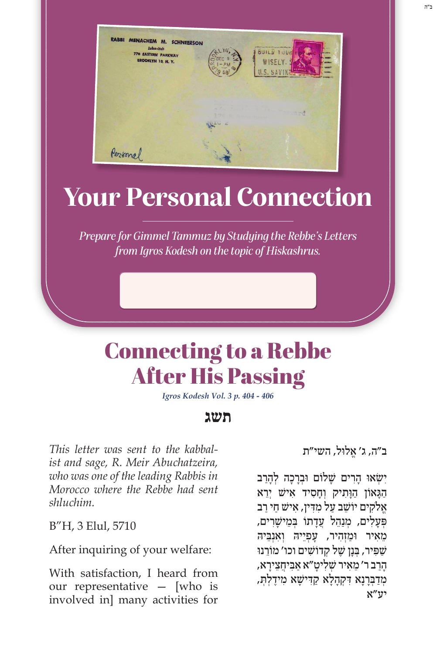

# **Your Personal Connection**

*Prepare for Gimmel Tammuz by Studying the Rebbe's Letters from Igros Kodesh on the topic of Hiskashrus.*

## Connecting to a Rebbe After His Passing

*Igros Kodesh Vol. 3 p. 404 - 406*

### **תשג**

*This letter was sent to the kabbalist and sage, R. Meir Abuchatzeira, who was one of the leading Rabbis in Morocco where the Rebbe had sent shluchim.*

B"H, 3 Elul, 5710

After inquiring of your welfare:

With satisfaction, I heard from our representative — [who is involved in] many activities for

ֱ ב"ה, ג' א ּלול, השי"ת

ישׂאו הרים שלום וּבָרכה לְהרב הַגַּאוֹן הַוַּתִיק וְחַסִיד אִישׁ יִרֵא ָאֲלֹקים יוֹשֵׁב על מִדִּין, אישׁ חִי רב פְּעַלִים, מִנָהֵל עֲדַתוֹ בִּמֵישַׁרִים, מַאיר וּמַזְהִיר, עַפְיֵיהּ וְאָנְבֵּיה*ּ* שַׁפִּיר, בְּנַן שֵׁל קְדוֹשִׁים וכו' מוֹרֵנוּ ָהַר ֵ ב ר' מ ִא ְ יר ש ִ ׁ ל ָיט ַ "א א ִּב ֲיחֵצ ָירא, ּמְדַּבְרָנָא דִּקְהָלָא קַדִּישָׁא מִידֶלְתְּ, יע"א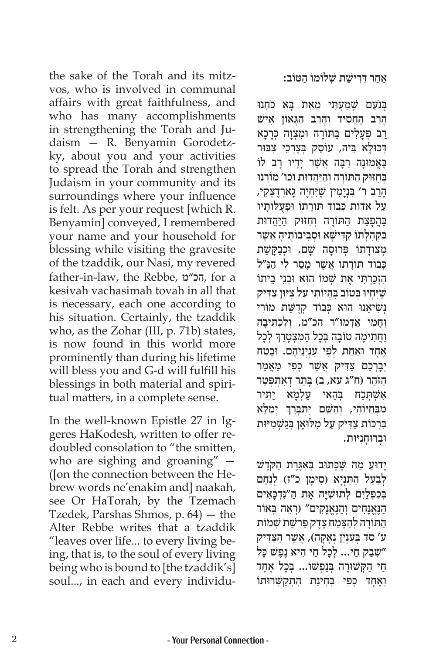the sake of the Torah and its mitzvos, who is involved in communal affairs with great faithfulness, and who has many accomplishments in strengthening the Torah and Judaism — R. Benyamin Gorodetzky, about you and your activities to spread the Torah and strengthen Judaism in your community and its surroundings where your influence is felt. As per your request [which R. Benyamin] conveyed, I remembered your name and your household for blessing while visiting the gravesite of the tzaddik, our Nasi, my revered father-in-law, the Rebbe, מ"הכ, for a kesivah vachasimah tovah in all that is necessary, each one according to his situation. Certainly, the tzaddik who, as the Zohar (III, p. 71b) states, is now found in this world more prominently than during his lifetime will bless you and G‑d will fulfill his blessings in both material and spiritual matters, in a complete sense.

In the well-known Epistle 27 in Iggeres HaKodesh, written to offer redoubled consolation to "the smitten, who are sighing and groaning" — ([on the connection between the Hebrew words ne'enakim and] naakah, see Or HaTorah, by the Tzemach Tzedek, Parshas Shmos, p. 64) — the Alter Rebbe writes that a tzaddik "leaves over life... to every living being, that is, to the soul of every living being who is bound to [the tzaddik's] soul..., in each and every individuַ אַחַר דְּרִישַׁת שָׁלוֹמוֹ הַטּוֹב:

ַבְּנֹעַם שַׁמַעָתִּי מֵאֵת בַּא כֹּחֻנוּ ָהַרַב הֶחַסִיד וְהָרַב הָגַאוֹן אִישׁ ַרֲב פְּעָלִים בַּתּוֹרֵה וּמִצְוָה כְּרַכָא דְכוּלַא בֵּיהּ, עוֹסֵק בְּצַרְכֵי צִבּוּר בָּאֱמוּנָה רַבָּה אֲשֶׁר יָדַיו רַב לוֹ בְּחִזּוּק הַתּוֹרָה וְהַיַּהֲדוּת וכו' מוֹרֵנוּ ָהַרַב ר' בְּנִימִין שֵׁיְּחָיֶה גַארְדֶצְקִי, ַעֲל אֹדוֹת כְּבוֹד תּוֹרַתוֹ וּפְעָלּוֹתַיו ַבְּהֲפָצַת הַתּוֹרָה וְחִזּוּק הַיַּהֲדוּת בִּקְהִלָּתוֹ קַדִּישָׁא וּסְבִיבוֹתֶיהָ אֲשֶׁר מְצוּדָתוֹ פְּרוּסָה שָׁם. וּכְבַקָּשַׁת כִּבוֹד תּוֹרתוֹ אַשֵׁר מסר לי הנּ״ל הִזְכַּרְתִּי אֵת שָׁמוֹ הוּא וּבְנֵי בֵיתוֹ שֶׁיִּחְיוּ בְּטוֹב בִּהְיוֹתִי עַל צִיּוּן צַדִּיק **ַנְשִׂיאֵנוּ הוּא כִּבוֹד קִדְשַׁת מוֹרִי** וְחמי אִדְמוּ"ר הכ"מ, וְלִכְתִיבה ׇׅ֧֧֓<u>֓</u> וַחֲתִימָה טוֹבָה בְּכָל הַמִּצְטָרֵךְ לְכָל אֶחָד וְאַחַת לִפִי עָנְיְנֵיהֶם. וּבֵטַח יְבַרְכֶם צַדִּיק אֲשֶׁר כִּפִּי מַאֲמַר הַזֹּהֵר (ח"ג עא, ב) בַּתַר דְּאִתְפַּטַר ּבְּהָאי עַלְמַא יַתִּיר אשׁתּכח מִבְּחַיּוֹהִי, וְהַשֵּׁם יִתְבָּרֵךְ יְמַלֵּא ֧֧֖֖֖֖֖֖֖֧֚֚֚֚֚֚֚֚֝֝֬<u>֓</u> בִּרְכוֹת צַדְיק עַל מְלוּאַן בְּגַשְׁמִיּוּת ּו ְב ּרוָחִנּיּות.

ַיְדוּעַ מַה שֵׁכַּתוּב בִאֲגֶרֶת הַקֹּדָשׁ לְבַעַל הַתַּנְיָא (סִימָן כ"ז) לְנַחֵם בְּכִפְלַיִם לְתוּשִׁיָּה אֶת הַ"נִּדְכָאִים ּ הַנֵאֲנחים וַהְנֵאֲנקים" (רֹאָה בְּאוֹר ַה ּת ָוֹ ר ְה לַהֶּצַמ ֶח צֶד ַק פְ ּ רַש ְ ׁ ת ש ׁ מוֹ ת ע' סד בְּעָנְיַן נְאַקַה), אֲשֶׁר הַצַּדִּיק שִׁבַק חַי... לְכַל חַי הִיא נֶפֵּשׁ כַּל" ְחַי הַקְשׁוּרַה בְּנַפְשׁוֹ... בְּכֵל אֶחַד וְאֶחַד כִּפִי בְּחִינַת הָתְקַשְׁרוּתוֹ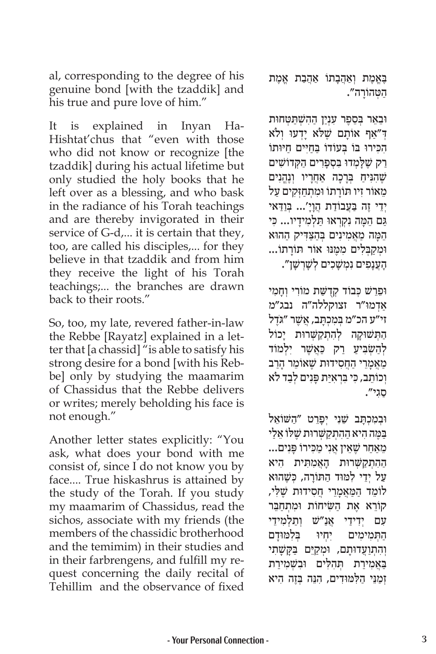al, corresponding to the degree of his genuine bond [with the tzaddik] and his true and pure love of him."

It is explained in Inyan Ha-Hishtat'chus that "even with those who did not know or recognize [the tzaddik] during his actual lifetime but only studied the holy books that he left over as a blessing, and who bask in the radiance of his Torah teachings and are thereby invigorated in their service of G-d,... it is certain that they, too, are called his disciples,... for they believe in that tzaddik and from him they receive the light of his Torah teachings;... the branches are drawn back to their roots."

So, too, my late, revered father-in-law the Rebbe [Rayatz] explained in a letter that [a chassid] "is able to satisfy his strong desire for a bond [with his Rebbe] only by studying the maamarim of Chassidus that the Rebbe delivers or writes; merely beholding his face is not enough."

Another letter states explicitly: "You ask, what does your bond with me consist of, since I do not know you by face.... True hiskashrus is attained by the study of the Torah. If you study my maamarim of Chassidus, read the sichos, associate with my friends (the members of the chassidic brotherhood and the temimim) in their studies and in their farbrengens, and fulfill my request concerning the daily recital of Tehillim and the observance of fixed ַבְּאֱמֶת וְאַהֲבָתוֹ אֲהֲבָת אֱמֶת ַה ְט ָּ הוֹ רה".

וּבֵאֵר בְּסֵפֶר עִנְיַן הַהִשְׁתַּטְחוּת ד"אף אוֹתם שׁלֹא ידעוּ ולֹא הכירוּ בּוֹ בַּעוֹדוֹ בַּחִיּים חיּוּתוֹ ַרַק שֶׁלָּמְדוּ בִּסְפָרִים הַקְדוֹשִׁים ְשֶׁהִגִּיהַ בְּרָכָה אַחֲרָיו וְנֶהֱנִים מאוֹר זיו תּוֹרתוֹ וּמתחזקים על יְדֵי זֶה בַּעֲבוֹדַת הֲוַיָ׳... בְּוַדָּאי ַּגַּם הֵמָּה נִקְרְאוּ תַּלְמִידָיו... כִּי הָמה מאמינים בַּהצדִיק ההוּא וּמַקבַּלים ממֵנּוּ אוֹר תּוֹרתוֹ... ָהָעֲנָפִים נְמִשָּׁכִים לְשָׁרִשָּׁן".

ּוֵפֵר ְשׁ כ ְּ בוֹ ד קֻדַש ִ ּׁ ת מוֹ ר ְי וָח ִמי ַאְד ּמו"ר זצוקללה"ה נבג"מ ֿזי״ע הכ״מ בְּמִכְתָּב, אֲשֶׁר ״גִּדֶל הַתְּשׁוּקָה לְהִתְקַשְּׁרוּת יָכוֹל לְהַשָּׂבִּיעַ רַק כַּאֲשֶׁר יִלְמוֹד ַמַאֲמָרֵי הַחֲסִידוּת שֵׁאוֹמֵר הַרַב וְכוֹתֵב, כִּי בִּרְאִיַּת פָּנִים לְבַד לֹא ַסִגי".

וּבְמִכְתָּב שֵׁנִי יְפָרֵט ״הַשּׁוֹאֵל בּמַה היא ההתקשרוּת שַׁלּוֹ אַלי ֵמַאַח ֶר שֵ ׁ א ֲ ין אִנ ַ י מ ִכ ָ ּ ירוֹ פִ ּ נים... ההתקשרוּת האמתית היא עַל יְדֵי לִמּוּד הַתּוֹרַה, כִּשֵׁהוּא לוֹמֹד המֹאמרי חסידוּת שלי, קוֹרא את השׂיחוֹת ומתחבר ַעם יִדידי אַנ״שׁ וִתלִמידֵי הַתְּמִימִים יִחְיוּ בְּלִמּוּדָם וְהִתְוַעֲדוּתָם, וּמְקַיֵּם בַּקָּשָׁתִי ּבַאֲמִירַת תְּהִלִּים וּבִשְׁמִירַת ְזַמֵנ ַ ּי ה ִלּ ּמּוִד ִ ים, הֵנ ְּ ּה בֶז ִה היא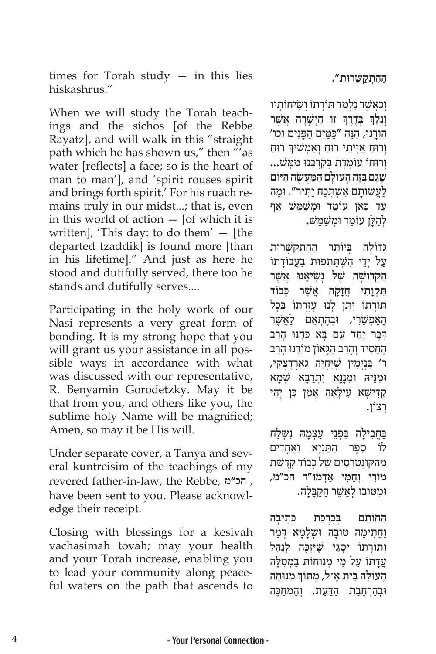times for Torah study  $-$  in this lies hiskashrus."

When we will study the Torah teachings and the sichos [of the Rebbe Rayatz], and will walk in this "straight path which he has shown us," then "'as water [reflects] a face; so is the heart of man to man'], and 'spirit rouses spirit and brings forth spirit.' For his ruach remains truly in our midst...; that is, even in this world of action — [of which it is written], 'This day: to do them' — [the departed tzaddik] is found more [than in his lifetime]." And just as here he stood and dutifully served, there too he stands and dutifully serves....

Participating in the holy work of our Nasi represents a very great form of bonding. It is my strong hope that you will grant us your assistance in all possible ways in accordance with what was discussed with our representative, R. Benyamin Gorodetzky. May it be that from you, and others like you, the sublime holy Name will be magnified; Amen, so may it be His will.

Under separate cover, a Tanya and several kuntreisim of the teachings of my revered father-in-law, the Rebbe, מ"הכ , have been sent to you. Please acknowledge their receipt.

Closing with blessings for a kesivah vachasimah tovah; may your health and your Torah increase, enabling you to lead your community along peaceful waters on the path that ascends to ַה ִה ְתַק ְש ּ ּׁ רות".

וְכַאֲשֶׁר נִלְמַד תּוֹרַתוֹ וְשִׂיחוֹתַיו ְוְנֵלֵךְ בְּדֶרֶךְ זוֹ הַיְשָׁרָה אֲשֶׁר ׇׅ֧֧֓<u>֓</u> הוֹרֵנוּ, הִנֶּה "כַּמַּיִם הַפְּנִים וכו' ֧֧֧֖֖֖֖֖֖֧֚֚֚֚֚֚֚֚֝֝֬<u>֓</u> וְרוּחַ אַיִיתי רוּחַ וְאַמְשִׁיךְ רוּחַ וְרוּחוֹ עוֹמֶדֶת בְּקְרְבֵּנוּ מַמַּשׁ... ֶשַּ ׁ ג ְּם בֶז ָה ה ָעוֹ ל ַם ה ַּמֲע ֶש ַ ׂ ה ה ּיוֹ ם ַלַעֲשׂוֹתָם אִשְׁתְּכַח יַתִּיר״. וּמֶה ַעַד כַּאן עוֹמֵד וּמִשַׁמֵּשׁ אַף ַ לְהַלָּן עוֹמֵד וּמְשַׁמֵּשׁ

ְגְּדוֹלֹה בַּיוֹתֵר ההתקשרוּת עַל יְדֵי הִשְׁתַּתְפוּת בַּעֲבוֹדָתוֹ הַקְדוֹשָׁה *ש*ָל נִשְׂיאֵנוּ אֲשֵר תִּקְוַתִי חֵזַקָה אֲשֶׁר כִּבוֹד ּתּוֹרָתוֹ יִתֵּן לָנוּ עֶזְרָתוֹ בְּכָל ָהָאֵפְשָׁרִי, וּבְהֶתְאָם לַאֲשֶׁר דְּבֶר יַחֲד עָם בָּא כֹּחֵנוּ הַרַב ֶהָח ִס ְ יד וָהַר ַב הָּג ֵ אוֹ ן מוֹ ר ּנו ָ הַרב ר' בִּנְיָמִין שֶׁיִּחְיֶה גָארְדֶצְקִי, **וּמִנֵּיהּ וּמִנַּנַא יִתְרַבָּא שָׁמַא** ַקַדִּישָׁא עִילָאָה אָמֵן כֵּן יְהִי ַרצוֹן.

בַּחֲבִילַה בִּפְנֵי עַצָמַהּ נִשָׁלַח ּלוֹ סֵפֶר הַתַּנְיָא וַאֲחָדִים מֵהַקוּנְטְרֵסִים שֵׁל כְּבוֹד קִדְשַּׁת מוֹרִי וְחַמִי אַדְמוּ"ר הכ"מ, ּוּמְטּוּבוֹ לְאַשֶׁר הַקַּבְּלָה.

הַחוֹתֵם בִּבְרִכַּת כִּתִיבָה וחתימה טוֹבה וּשָׁלֹמא דָמר וְתוֹרַתוֹ יִסְגֵּי שֵׁיִּזְכֵּה לְנַהֵל עֲדָתוֹ עַל מֵי מְנוּחוֹת בַּמְסִלָּה ֧֧֖֖֖֖֖֖֖֧֚֚֚֚֚֚֚֚֝֝֬<u>֓</u> הָעוֹלָה בֵּית אֵ־ל, מִתּוֹךְ מְנוּחָה וּבְהַרְחָבַת הַדַּעַת, וְהַמִחְכֵּה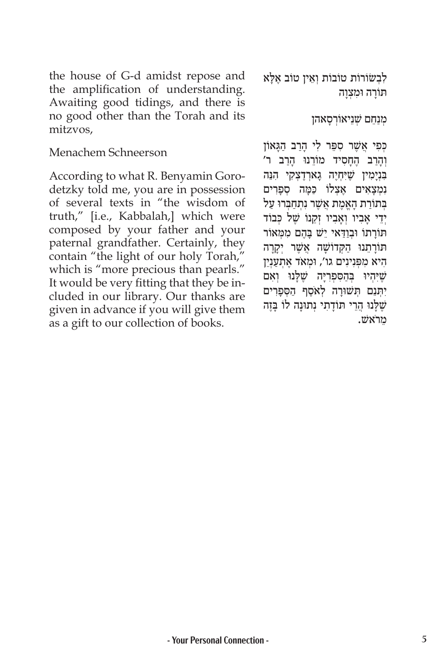the house of G-d amidst repose and the amplification of understanding. Awaiting good tidings, and there is no good other than the Torah and its mitzvos,

#### Menachem Schneerson

According to what R. Benyamin Gorodetzky told me, you are in possession of several texts in "the wisdom of truth," [i.e., Kabbalah,] which were composed by your father and your paternal grandfather. Certainly, they contain "the light of our holy Torah," which is "more precious than pearls." It would be very fitting that they be included in our library. Our thanks are given in advance if you will give them as a gift to our collection of books.

לִבְשׂוֹרוֹת טוֹבוֹת וְאֵין טוֹב אֶלָא תורה וּמצוה

#### מִנַחֵם שָׁנֵיאוֹרְסַאהן

כְפִי אֲשֶׁר סִפֶּר לִי הַרַב הַגַּאוֹן וְהִרב הָחסיד מוֹרֵנוּ הִרב ר' בִּנְיָמִין שֶׁיִּחְיֶה גָארְדֶצְקִי הִנֵּה נִמְצָאִים אֵצְלוֹ כַּמַּה סְפַרִים ַבּתוֹרת האמת אשׁר נתחברוּ על יְדֵי אֲבִיו וְאֲבִיו זָקֵנוֹ שֵׁל כִּבוֹד תּוֹרַתוֹ וּבְוַדֵּאי יֵשׁ בַּהֶם מִמְּאוֹר תּוֹרַתֵנוּ הַקְדוֹשַׁה אֲשֶׁר יִקַרַה היא מפּנינים גו', וּמַאֹד אַתַעַנַיִן שִׁיּהִיוּ בְהַסִפְרִיָּה שֶׁלְּנוּ וְאִם יִתְּנֵם תְּשׁוּרָה לְאֹסֶף הַסְפָרִים שֶׁלָּנוּ הֲרֵי תּוֹדָתִי נְתוּנָה לוֹ בָּזֶה <del>`</del> ֵמרֹאשׁ .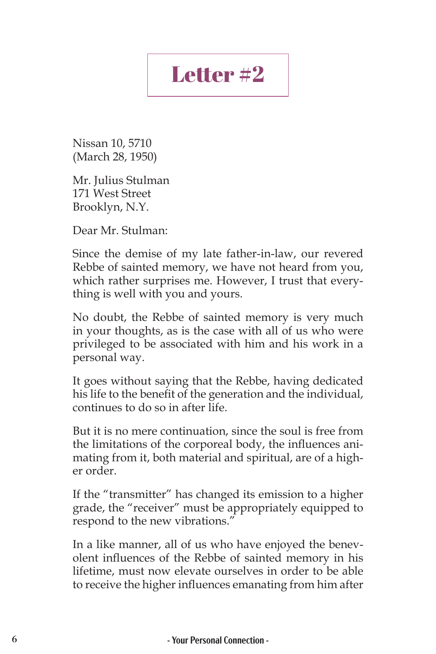## Letter #2

Nissan 10, 5710 (March 28, 1950)

Mr. Julius Stulman 171 West Street Brooklyn, N.Y.

Dear Mr. Stulman:

Since the demise of my late father-in-law, our revered Rebbe of sainted memory, we have not heard from you, which rather surprises me. However, I trust that everything is well with you and yours.

No doubt, the Rebbe of sainted memory is very much in your thoughts, as is the case with all of us who were privileged to be associated with him and his work in a personal way.

It goes without saying that the Rebbe, having dedicated his life to the benefit of the generation and the individual, continues to do so in after life.

But it is no mere continuation, since the soul is free from the limitations of the corporeal body, the influences animating from it, both material and spiritual, are of a higher order.

If the "transmitter" has changed its emission to a higher grade, the "receiver" must be appropriately equipped to respond to the new vibrations."

In a like manner, all of us who have enjoyed the benevolent influences of the Rebbe of sainted memory in his lifetime, must now elevate ourselves in order to be able to receive the higher influences emanating from him after